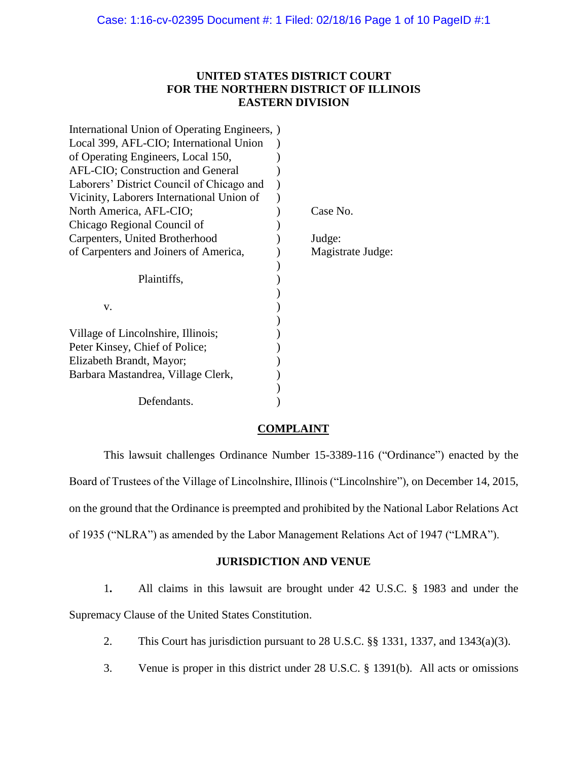# **UNITED STATES DISTRICT COURT FOR THE NORTHERN DISTRICT OF ILLINOIS EASTERN DIVISION**

| International Union of Operating Engineers, |                   |
|---------------------------------------------|-------------------|
| Local 399, AFL-CIO; International Union     |                   |
| of Operating Engineers, Local 150,          |                   |
| AFL-CIO; Construction and General           |                   |
| Laborers' District Council of Chicago and   |                   |
| Vicinity, Laborers International Union of   |                   |
| North America, AFL-CIO;                     | Case No.          |
| Chicago Regional Council of                 |                   |
| Carpenters, United Brotherhood              | Judge:            |
| of Carpenters and Joiners of America,       | Magistrate Judge: |
|                                             |                   |
|                                             |                   |
| Plaintiffs,                                 |                   |
|                                             |                   |
| v.                                          |                   |
|                                             |                   |
| Village of Lincolnshire, Illinois;          |                   |
| Peter Kinsey, Chief of Police;              |                   |
| Elizabeth Brandt, Mayor;                    |                   |
| Barbara Mastandrea, Village Clerk,          |                   |
|                                             |                   |

# **COMPLAINT**

This lawsuit challenges Ordinance Number 15-3389-116 ("Ordinance") enacted by the Board of Trustees of the Village of Lincolnshire, Illinois ("Lincolnshire"), on December 14, 2015, on the ground that the Ordinance is preempted and prohibited by the National Labor Relations Act of 1935 ("NLRA") as amended by the Labor Management Relations Act of 1947 ("LMRA").

# **JURISDICTION AND VENUE**

1**.** All claims in this lawsuit are brought under 42 U.S.C. § 1983 and under the Supremacy Clause of the United States Constitution.

- 2. This Court has jurisdiction pursuant to 28 U.S.C. §§ 1331, 1337, and 1343(a)(3).
- 3. Venue is proper in this district under 28 U.S.C. § 1391(b). All acts or omissions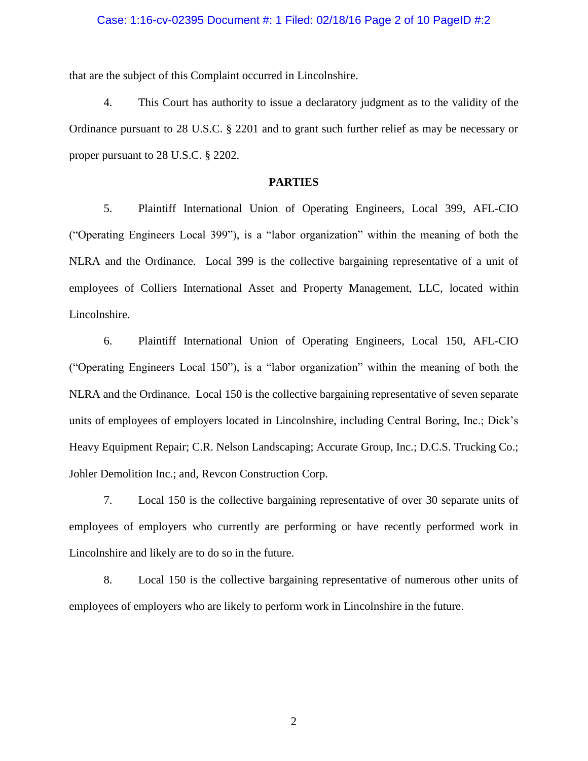### Case: 1:16-cv-02395 Document #: 1 Filed: 02/18/16 Page 2 of 10 PageID #:2

that are the subject of this Complaint occurred in Lincolnshire.

4. This Court has authority to issue a declaratory judgment as to the validity of the Ordinance pursuant to 28 U.S.C. § 2201 and to grant such further relief as may be necessary or proper pursuant to 28 U.S.C. § 2202.

# **PARTIES**

5. Plaintiff International Union of Operating Engineers, Local 399, AFL-CIO ("Operating Engineers Local 399"), is a "labor organization" within the meaning of both the NLRA and the Ordinance. Local 399 is the collective bargaining representative of a unit of employees of Colliers International Asset and Property Management, LLC, located within Lincolnshire.

6. Plaintiff International Union of Operating Engineers, Local 150, AFL-CIO ("Operating Engineers Local 150"), is a "labor organization" within the meaning of both the NLRA and the Ordinance. Local 150 is the collective bargaining representative of seven separate units of employees of employers located in Lincolnshire, including Central Boring, Inc.; Dick's Heavy Equipment Repair; C.R. Nelson Landscaping; Accurate Group, Inc.; D.C.S. Trucking Co.; Johler Demolition Inc.; and, Revcon Construction Corp.

7. Local 150 is the collective bargaining representative of over 30 separate units of employees of employers who currently are performing or have recently performed work in Lincolnshire and likely are to do so in the future.

8. Local 150 is the collective bargaining representative of numerous other units of employees of employers who are likely to perform work in Lincolnshire in the future.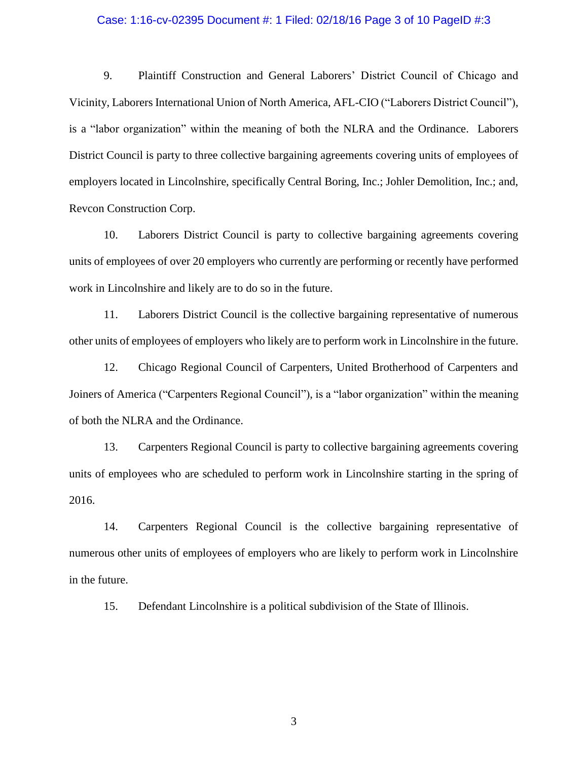### Case: 1:16-cv-02395 Document #: 1 Filed: 02/18/16 Page 3 of 10 PageID #:3

9. Plaintiff Construction and General Laborers' District Council of Chicago and Vicinity, Laborers International Union of North America, AFL-CIO ("Laborers District Council"), is a "labor organization" within the meaning of both the NLRA and the Ordinance. Laborers District Council is party to three collective bargaining agreements covering units of employees of employers located in Lincolnshire, specifically Central Boring, Inc.; Johler Demolition, Inc.; and, Revcon Construction Corp.

10. Laborers District Council is party to collective bargaining agreements covering units of employees of over 20 employers who currently are performing or recently have performed work in Lincolnshire and likely are to do so in the future.

11. Laborers District Council is the collective bargaining representative of numerous other units of employees of employers who likely are to perform work in Lincolnshire in the future.

12. Chicago Regional Council of Carpenters, United Brotherhood of Carpenters and Joiners of America ("Carpenters Regional Council"), is a "labor organization" within the meaning of both the NLRA and the Ordinance.

13. Carpenters Regional Council is party to collective bargaining agreements covering units of employees who are scheduled to perform work in Lincolnshire starting in the spring of 2016.

14. Carpenters Regional Council is the collective bargaining representative of numerous other units of employees of employers who are likely to perform work in Lincolnshire in the future.

15. Defendant Lincolnshire is a political subdivision of the State of Illinois.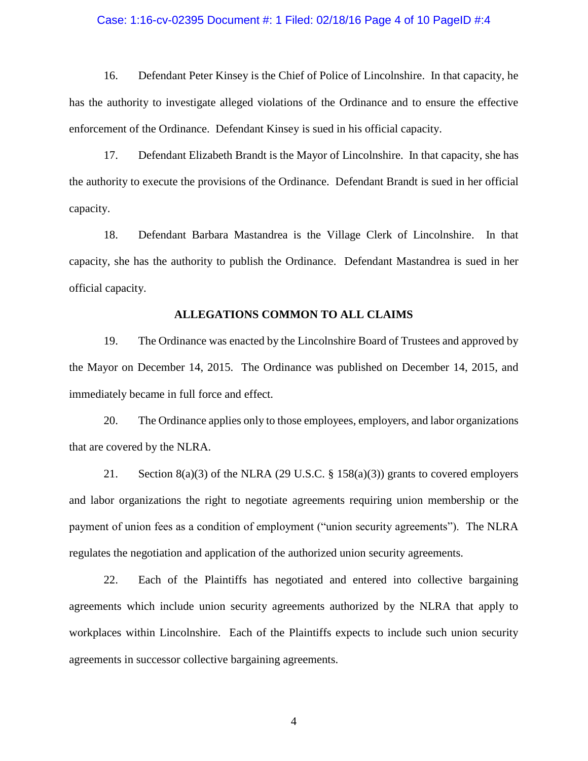#### Case: 1:16-cv-02395 Document #: 1 Filed: 02/18/16 Page 4 of 10 PageID #:4

16. Defendant Peter Kinsey is the Chief of Police of Lincolnshire. In that capacity, he has the authority to investigate alleged violations of the Ordinance and to ensure the effective enforcement of the Ordinance. Defendant Kinsey is sued in his official capacity.

17. Defendant Elizabeth Brandt is the Mayor of Lincolnshire. In that capacity, she has the authority to execute the provisions of the Ordinance. Defendant Brandt is sued in her official capacity.

18. Defendant Barbara Mastandrea is the Village Clerk of Lincolnshire. In that capacity, she has the authority to publish the Ordinance. Defendant Mastandrea is sued in her official capacity.

## **ALLEGATIONS COMMON TO ALL CLAIMS**

19. The Ordinance was enacted by the Lincolnshire Board of Trustees and approved by the Mayor on December 14, 2015. The Ordinance was published on December 14, 2015, and immediately became in full force and effect.

20. The Ordinance applies only to those employees, employers, and labor organizations that are covered by the NLRA.

21. Section  $8(a)(3)$  of the NLRA (29 U.S.C. § 158 $(a)(3)$ ) grants to covered employers and labor organizations the right to negotiate agreements requiring union membership or the payment of union fees as a condition of employment ("union security agreements"). The NLRA regulates the negotiation and application of the authorized union security agreements.

22. Each of the Plaintiffs has negotiated and entered into collective bargaining agreements which include union security agreements authorized by the NLRA that apply to workplaces within Lincolnshire. Each of the Plaintiffs expects to include such union security agreements in successor collective bargaining agreements.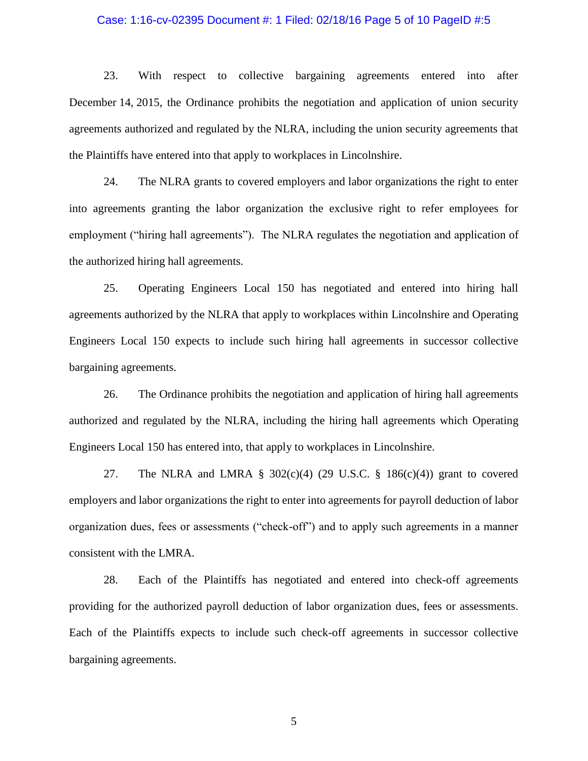## Case: 1:16-cv-02395 Document #: 1 Filed: 02/18/16 Page 5 of 10 PageID #:5

23. With respect to collective bargaining agreements entered into after December 14, 2015, the Ordinance prohibits the negotiation and application of union security agreements authorized and regulated by the NLRA, including the union security agreements that the Plaintiffs have entered into that apply to workplaces in Lincolnshire.

24. The NLRA grants to covered employers and labor organizations the right to enter into agreements granting the labor organization the exclusive right to refer employees for employment ("hiring hall agreements"). The NLRA regulates the negotiation and application of the authorized hiring hall agreements.

25. Operating Engineers Local 150 has negotiated and entered into hiring hall agreements authorized by the NLRA that apply to workplaces within Lincolnshire and Operating Engineers Local 150 expects to include such hiring hall agreements in successor collective bargaining agreements.

26. The Ordinance prohibits the negotiation and application of hiring hall agreements authorized and regulated by the NLRA, including the hiring hall agreements which Operating Engineers Local 150 has entered into, that apply to workplaces in Lincolnshire.

27. The NLRA and LMRA  $\S$  302(c)(4) (29 U.S.C.  $\S$  186(c)(4)) grant to covered employers and labor organizations the right to enter into agreements for payroll deduction of labor organization dues, fees or assessments ("check-off") and to apply such agreements in a manner consistent with the LMRA.

28. Each of the Plaintiffs has negotiated and entered into check-off agreements providing for the authorized payroll deduction of labor organization dues, fees or assessments. Each of the Plaintiffs expects to include such check-off agreements in successor collective bargaining agreements.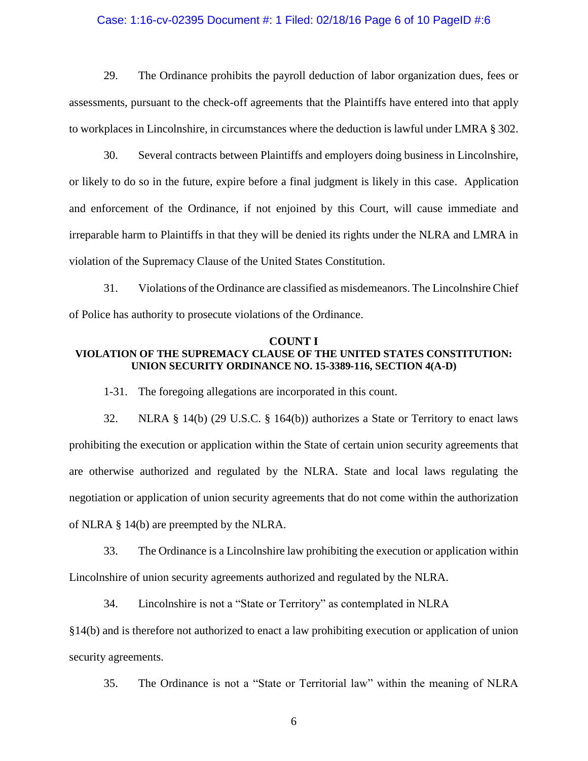## Case: 1:16-cv-02395 Document #: 1 Filed: 02/18/16 Page 6 of 10 PageID #:6

29. The Ordinance prohibits the payroll deduction of labor organization dues, fees or assessments, pursuant to the check-off agreements that the Plaintiffs have entered into that apply to workplaces in Lincolnshire, in circumstances where the deduction is lawful under LMRA § 302.

30. Several contracts between Plaintiffs and employers doing business in Lincolnshire, or likely to do so in the future, expire before a final judgment is likely in this case. Application and enforcement of the Ordinance, if not enjoined by this Court, will cause immediate and irreparable harm to Plaintiffs in that they will be denied its rights under the NLRA and LMRA in violation of the Supremacy Clause of the United States Constitution.

31. Violations of the Ordinance are classified as misdemeanors. The Lincolnshire Chief of Police has authority to prosecute violations of the Ordinance.

#### **COUNT I**

## **VIOLATION OF THE SUPREMACY CLAUSE OF THE UNITED STATES CONSTITUTION: UNION SECURITY ORDINANCE NO. 15-3389-116, SECTION 4(A-D)**

1-31. The foregoing allegations are incorporated in this count.

32. NLRA § 14(b) (29 U.S.C. § 164(b)) authorizes a State or Territory to enact laws prohibiting the execution or application within the State of certain union security agreements that are otherwise authorized and regulated by the NLRA. State and local laws regulating the negotiation or application of union security agreements that do not come within the authorization of NLRA § 14(b) are preempted by the NLRA.

33. The Ordinance is a Lincolnshire law prohibiting the execution or application within Lincolnshire of union security agreements authorized and regulated by the NLRA.

34. Lincolnshire is not a "State or Territory" as contemplated in NLRA

§14(b) and is therefore not authorized to enact a law prohibiting execution or application of union security agreements.

35. The Ordinance is not a "State or Territorial law" within the meaning of NLRA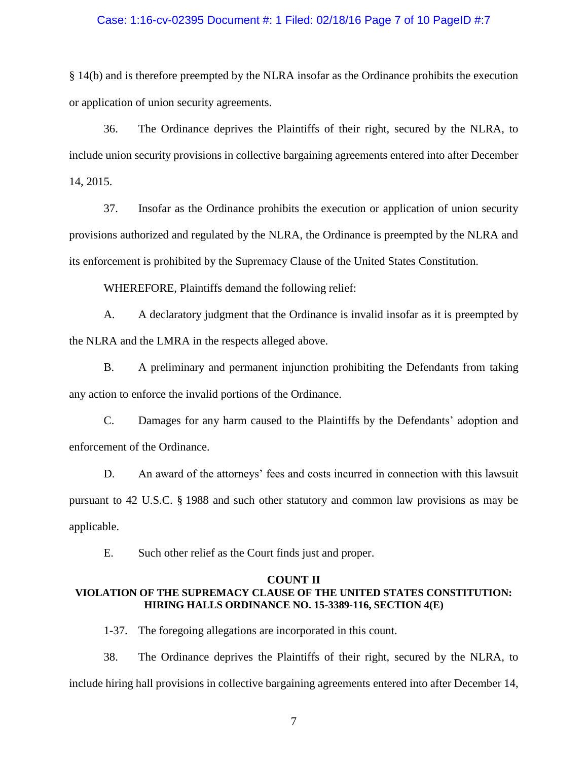## Case: 1:16-cv-02395 Document #: 1 Filed: 02/18/16 Page 7 of 10 PageID #:7

§ 14(b) and is therefore preempted by the NLRA insofar as the Ordinance prohibits the execution or application of union security agreements.

36. The Ordinance deprives the Plaintiffs of their right, secured by the NLRA, to include union security provisions in collective bargaining agreements entered into after December 14, 2015.

37. Insofar as the Ordinance prohibits the execution or application of union security provisions authorized and regulated by the NLRA, the Ordinance is preempted by the NLRA and its enforcement is prohibited by the Supremacy Clause of the United States Constitution.

WHEREFORE, Plaintiffs demand the following relief:

A. A declaratory judgment that the Ordinance is invalid insofar as it is preempted by the NLRA and the LMRA in the respects alleged above.

B. A preliminary and permanent injunction prohibiting the Defendants from taking any action to enforce the invalid portions of the Ordinance.

C. Damages for any harm caused to the Plaintiffs by the Defendants' adoption and enforcement of the Ordinance.

D. An award of the attorneys' fees and costs incurred in connection with this lawsuit pursuant to 42 U.S.C. § 1988 and such other statutory and common law provisions as may be applicable.

E. Such other relief as the Court finds just and proper.

#### **COUNT II**

## **VIOLATION OF THE SUPREMACY CLAUSE OF THE UNITED STATES CONSTITUTION: HIRING HALLS ORDINANCE NO. 15-3389-116, SECTION 4(E)**

1-37. The foregoing allegations are incorporated in this count.

38. The Ordinance deprives the Plaintiffs of their right, secured by the NLRA, to include hiring hall provisions in collective bargaining agreements entered into after December 14,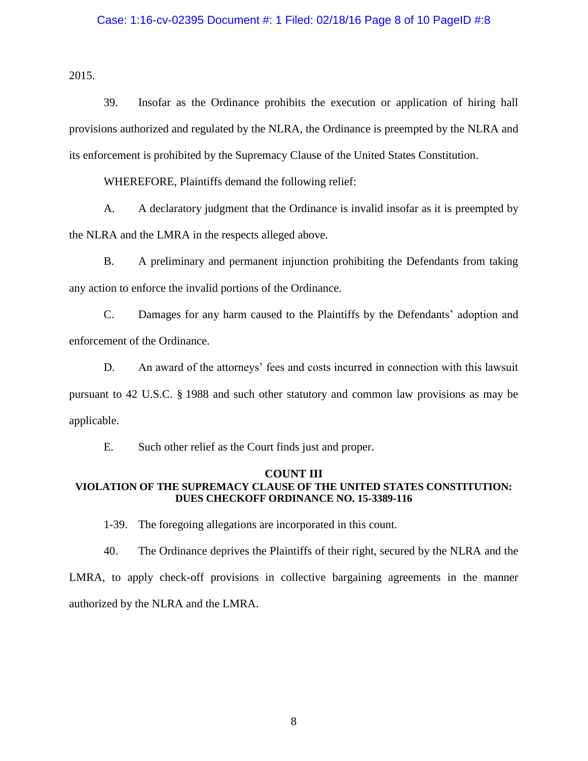## Case: 1:16-cv-02395 Document #: 1 Filed: 02/18/16 Page 8 of 10 PageID #:8

2015.

39. Insofar as the Ordinance prohibits the execution or application of hiring hall provisions authorized and regulated by the NLRA, the Ordinance is preempted by the NLRA and its enforcement is prohibited by the Supremacy Clause of the United States Constitution.

WHEREFORE, Plaintiffs demand the following relief:

A. A declaratory judgment that the Ordinance is invalid insofar as it is preempted by the NLRA and the LMRA in the respects alleged above.

B. A preliminary and permanent injunction prohibiting the Defendants from taking any action to enforce the invalid portions of the Ordinance.

C. Damages for any harm caused to the Plaintiffs by the Defendants' adoption and enforcement of the Ordinance.

D. An award of the attorneys' fees and costs incurred in connection with this lawsuit pursuant to 42 U.S.C. § 1988 and such other statutory and common law provisions as may be applicable.

E. Such other relief as the Court finds just and proper.

#### **COUNT III**

# **VIOLATION OF THE SUPREMACY CLAUSE OF THE UNITED STATES CONSTITUTION: DUES CHECKOFF ORDINANCE NO. 15-3389-116**

1-39. The foregoing allegations are incorporated in this count.

40. The Ordinance deprives the Plaintiffs of their right, secured by the NLRA and the LMRA, to apply check-off provisions in collective bargaining agreements in the manner authorized by the NLRA and the LMRA.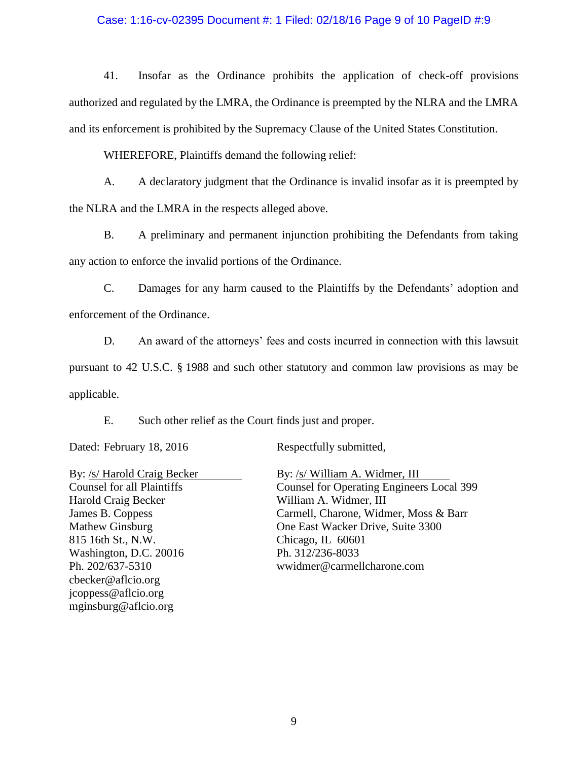## Case: 1:16-cv-02395 Document #: 1 Filed: 02/18/16 Page 9 of 10 PageID #:9

41. Insofar as the Ordinance prohibits the application of check-off provisions authorized and regulated by the LMRA, the Ordinance is preempted by the NLRA and the LMRA and its enforcement is prohibited by the Supremacy Clause of the United States Constitution.

WHEREFORE, Plaintiffs demand the following relief:

A. A declaratory judgment that the Ordinance is invalid insofar as it is preempted by the NLRA and the LMRA in the respects alleged above.

B. A preliminary and permanent injunction prohibiting the Defendants from taking any action to enforce the invalid portions of the Ordinance.

C. Damages for any harm caused to the Plaintiffs by the Defendants' adoption and enforcement of the Ordinance.

D. An award of the attorneys' fees and costs incurred in connection with this lawsuit pursuant to 42 U.S.C. § 1988 and such other statutory and common law provisions as may be applicable.

E. Such other relief as the Court finds just and proper.

Dated: February 18, 2016 Respectfully submitted,

Harold Craig Becker William A. Widmer, III 815 16th St., N.W. Chicago, IL 60601 Washington, D.C. 20016 Ph. 312/236-8033 Ph. 202/637-5310 wwidmer@carmellcharone.com cbecker@aflcio.org jcoppess@aflcio.org mginsburg@aflcio.org

By: /s/ Harold Craig Becker By: /s/ William A. Widmer, III Counsel for all Plaintiffs Counsel for Operating Engineers Local 399 James B. Coppess Carmell, Charone, Widmer, Moss & Barr Mathew Ginsburg **One East Wacker Drive, Suite 3300**